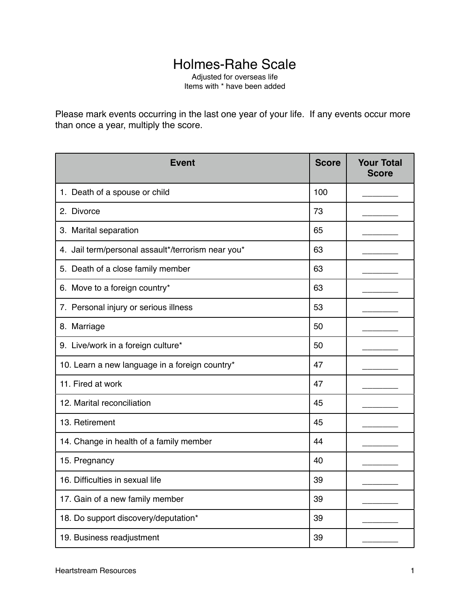## Holmes-Rahe Scale

Adjusted for overseas life Items with \* have been added

Please mark events occurring in the last one year of your life. If any events occur more than once a year, multiply the score.

| <b>Event</b>                                       | <b>Score</b> | <b>Your Total</b><br><b>Score</b> |
|----------------------------------------------------|--------------|-----------------------------------|
| 1. Death of a spouse or child                      | 100          |                                   |
| 2. Divorce                                         | 73           |                                   |
| 3. Marital separation                              | 65           |                                   |
| 4. Jail term/personal assault*/terrorism near you* | 63           |                                   |
| 5. Death of a close family member                  | 63           |                                   |
| 6. Move to a foreign country*                      | 63           |                                   |
| 7. Personal injury or serious illness              | 53           |                                   |
| 8. Marriage                                        | 50           |                                   |
| 9. Live/work in a foreign culture*                 | 50           |                                   |
| 10. Learn a new language in a foreign country*     | 47           |                                   |
| 11. Fired at work                                  | 47           |                                   |
| 12. Marital reconciliation                         | 45           |                                   |
| 13. Retirement                                     | 45           |                                   |
| 14. Change in health of a family member            | 44           |                                   |
| 15. Pregnancy                                      | 40           |                                   |
| 16. Difficulties in sexual life                    | 39           |                                   |
| 17. Gain of a new family member                    | 39           |                                   |
| 18. Do support discovery/deputation*               | 39           |                                   |
| 19. Business readjustment                          | 39           |                                   |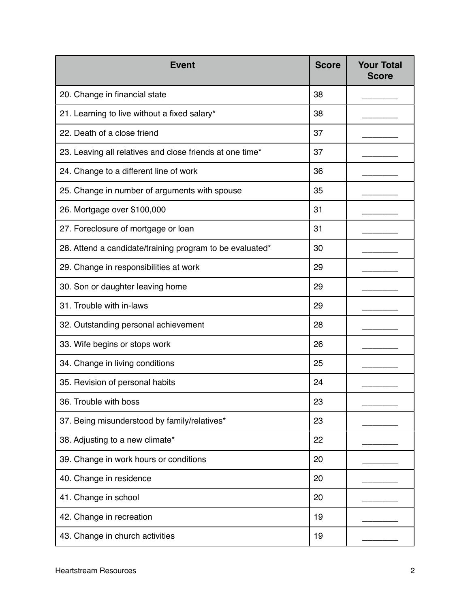| <b>Event</b>                                             | <b>Score</b> | <b>Your Total</b><br><b>Score</b> |
|----------------------------------------------------------|--------------|-----------------------------------|
| 20. Change in financial state                            | 38           |                                   |
| 21. Learning to live without a fixed salary*             | 38           |                                   |
| 22. Death of a close friend                              | 37           |                                   |
| 23. Leaving all relatives and close friends at one time* | 37           |                                   |
| 24. Change to a different line of work                   | 36           |                                   |
| 25. Change in number of arguments with spouse            | 35           |                                   |
| 26. Mortgage over \$100,000                              | 31           |                                   |
| 27. Foreclosure of mortgage or loan                      | 31           |                                   |
| 28. Attend a candidate/training program to be evaluated* | 30           |                                   |
| 29. Change in responsibilities at work                   | 29           |                                   |
| 30. Son or daughter leaving home                         | 29           |                                   |
| 31. Trouble with in-laws                                 | 29           |                                   |
| 32. Outstanding personal achievement                     | 28           |                                   |
| 33. Wife begins or stops work                            | 26           |                                   |
| 34. Change in living conditions                          | 25           |                                   |
| 35. Revision of personal habits                          | 24           |                                   |
| 36. Trouble with boss                                    | 23           |                                   |
| 37. Being misunderstood by family/relatives*             | 23           |                                   |
| 38. Adjusting to a new climate*                          | 22           |                                   |
| 39. Change in work hours or conditions                   | 20           |                                   |
| 40. Change in residence                                  | 20           |                                   |
| 41. Change in school                                     | 20           |                                   |
| 42. Change in recreation                                 | 19           |                                   |
| 43. Change in church activities                          | 19           |                                   |